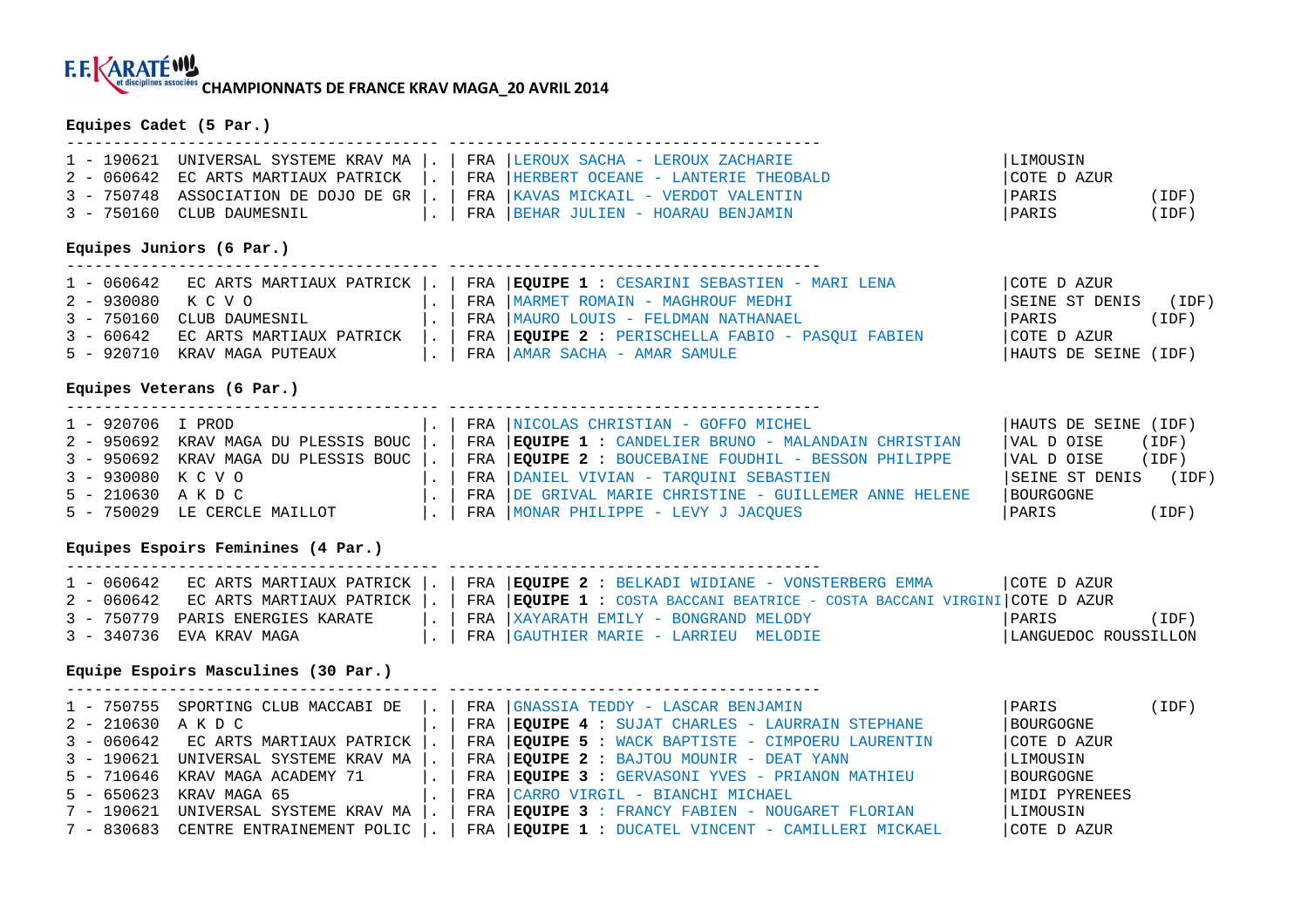# **CHAMPIONNATS DE FRANCE KRAV MAGA\_20 AVRIL 2014**

#### **Equipes Cadet (5 Par.)**

|                           |  | 1 - 190621 UNIVERSAL SYSTEME KRAV MA  .   FRA   LEROUX SACHA - LEROUX ZACHARIE    | LIMOUSIN    |       |
|---------------------------|--|-----------------------------------------------------------------------------------|-------------|-------|
|                           |  | 2 - 060642 EC ARTS MARTIAUX PATRICK  .   FRA   HERBERT OCEANE - LANTERIE THEOBALD | COTE D AZUR |       |
|                           |  | 3 - 750748 ASSOCIATION DE DOJO DE GR  .   FRA   KAVAS MICKAIL - VERDOT VALENTIN   | IPARIS      | (IDF) |
| 3 - 750160 CLUB DAUMESNIL |  | $\vert$ .   FRA   BEHAR JULIEN - HOARAU BENJAMIN                                  | PARIS       | (IDF) |

### **Equipes Juniors (6 Par.)**

|                 |                                    |  | 1 - 060642 ECARTS MARTIAUX PATRICK  .   FRA   EQUIPE 1 : CESARINI SEBASTIEN - MARI LENA | COTE D AZUR          |       |
|-----------------|------------------------------------|--|-----------------------------------------------------------------------------------------|----------------------|-------|
| 2 – 930080 KCVO |                                    |  | .   FRA   MARMET ROMAIN - MAGHROUF MEDHI                                                | SEINE ST DENIS       | (IDF) |
|                 | 3 - 750160 CLUB DAUMESNIL          |  | .   FRA  MAURO LOUIS - FELDMAN NATHANAEL                                                | <i>FARIS</i>         | (IDF) |
|                 | 3 - 60642 EC ARTS MARTIAUX PATRICK |  | .   FRA   EQUIPE 2 : PERISCHELLA FABIO - PASQUI FABIEN                                  | COTE D AZUR          |       |
|                 | 5 - 920710 KRAV MAGA PUTEAUX       |  | FRA   AMAR SACHA - AMAR SAMULE                                                          | HAUTS DE SEINE (IDF) |       |

#### **Equipes Veterans (6 Par.)**

| 1 - 920706 I PROD |                              |  | .   FRA  NICOLAS CHRISTIAN - GOFFO MICHEL                                                        | HAUTS DE SEINE (IDF) |       |
|-------------------|------------------------------|--|--------------------------------------------------------------------------------------------------|----------------------|-------|
|                   |                              |  | 2 - 950692 KRAV MAGA DU PLESSIS BOUC  .   FRA   EQUIPE 1 : CANDELIER BRUNO - MALANDAIN CHRISTIAN | VAL D OISE           | (IDF) |
|                   |                              |  | 3 - 950692 KRAV MAGA DU PLESSIS BOUC  .   FRA   EQUIPE 2 : BOUCEBAINE FOUDHIL - BESSON PHILIPPE  | VAL D OISE (IDF)     |       |
| 3 – 930080 KCVO   |                              |  | FRA   DANIEL VIVIAN - TARQUINI SEBASTIEN                                                         | SEINE ST DENIS (IDF) |       |
| 5 - 210630 AKDC   |                              |  | .   FRA   DE GRIVAL MARIE CHRISTINE - GUILLEMER ANNE HELENE                                      | BOURGOGNE            |       |
|                   | 5 - 750029 LE CERCLE MAILLOT |  | FRA   MONAR PHILIPPE - LEVY J JACQUES                                                            | PARIS                | (IDF) |

#### **Equipes Espoirs Feminines (4 Par.)**

|                                  |  | 1 - 060642   EC ARTS MARTIAUX PATRICK  .   FRA  EQUIPE 2 : BELKADI WIDIANE - VONSTERBERG EMMA                         | COTE D AZUR          |       |
|----------------------------------|--|-----------------------------------------------------------------------------------------------------------------------|----------------------|-------|
|                                  |  |                                                                                                                       |                      |       |
|                                  |  | 2 - 060642 EC ARTS MARTIAUX PATRICK  .   FRA   EQUIPE 1 : COSTA BACCANI BEATRICE - COSTA BACCANI VIRGINI   COTE DAZUR |                      |       |
| 3 - 750779 PARIS ENERGIES KARATE |  | $\vert$ .   FRA $\vert$ XAYARATH EMILY - BONGRAND MELODY                                                              | PARIS                | (IDF) |
| 3 - 340736 EVA KRAV MAGA         |  | FRA  GAUTHIER MARIE - LARRIEU MELODIE                                                                                 | LANGUEDOC ROUSSILLON |       |

#### **Equipe Espoirs Masculines (30 Par.)**

|                 | $1$ - 750755 SPORTING CLUB MACCABI DE $\vert . \vert$ |  | FRA GNASSIA TEDDY - LASCAR BENJAMIN                                    | PARIS         | (IDF) |
|-----------------|-------------------------------------------------------|--|------------------------------------------------------------------------|---------------|-------|
| 2 - 210630 AKDC |                                                       |  | FRA $\overline{\mathbf{EQUIPE}}$ 4 : SUJAT CHARLES - LAURRAIN STEPHANE | BOURGOGNE     |       |
|                 | 3 - 060642 EC ARTS MARTIAUX PATRICK                   |  | FRA EQUIPE 5 : WACK BAPTISTE - CIMPOERU LAURENTIN                      | COTE D AZUR   |       |
|                 | 3 - 190621 UNIVERSAL SYSTEME KRAV MA                  |  | FRA   EQUIPE 2 : BAJTOU MOUNIR - DEAT YANN                             | LIMOUSIN      |       |
|                 | 5 - 710646 KRAV MAGA ACADEMY 71                       |  | FRA   EQUIPE 3 : GERVASONI YVES - PRIANON MATHIEU                      | BOURGOGNE     |       |
|                 | 5 - 650623 KRAV MAGA 65                               |  | FRA CARRO VIRGIL - BIANCHI MICHAEL                                     | MIDI PYRENEES |       |
|                 | 7 - 190621 UNIVERSAL SYSTEME KRAV MA                  |  | FRA EQUIPE 3 : FRANCY FABIEN - NOUGARET FLORIAN                        | LIMOUSIN      |       |
|                 | 7 - 830683 CENTRE ENTRAINEMENT POLIC                  |  | FRA   EQUIPE 1 : DUCATEL VINCENT - CAMILLERI MICKAEL                   | COTE D AZUR   |       |